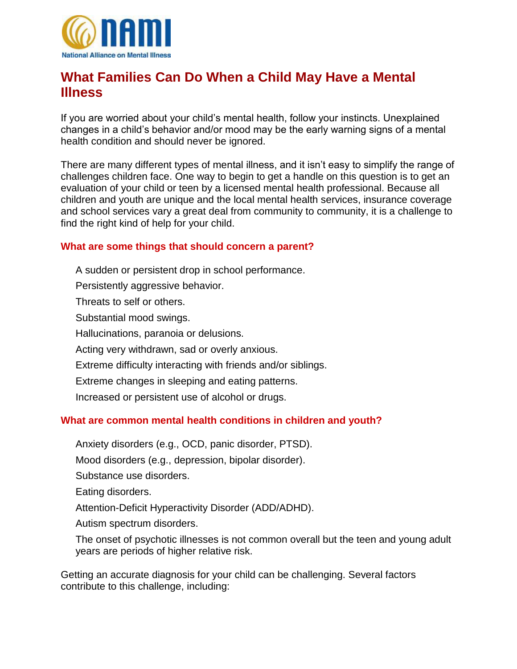

## **What Families Can Do When a Child May Have a Mental Illness**

If you are worried about your child's mental health, follow your instincts. Unexplained changes in a child's behavior and/or mood may be the early warning signs of a mental health condition and should never be ignored.

There are many different types of mental illness, and it isn't easy to simplify the range of challenges children face. One way to begin to get a handle on this question is to get an evaluation of your child or teen by a licensed mental health professional. Because all children and youth are unique and the local mental health services, insurance coverage and school services vary a great deal from community to community, it is a challenge to find the right kind of help for your child.

## **What are some things that should concern a parent?**

A sudden or persistent drop in school performance. Persistently aggressive behavior. Threats to self or others. Substantial mood swings. Hallucinations, paranoia or delusions. Acting very withdrawn, sad or overly anxious. Extreme difficulty interacting with friends and/or siblings. Extreme changes in sleeping and eating patterns.

Increased or persistent use of alcohol or drugs.

## **What are common mental health conditions in children and youth?**

[Anxiety disorders](http://www.nami.org/Template.cfm?Section=By_Illness&Template=/ContentManagement/ContentDisplay.cfm&ContentID=142543) (e.g., OCD, panic disorder, PTSD).

Mood disorders (e.g., [depression,](http://www.nami.org/template.cfm?section=Depression) [bipolar disorder\)](http://www.nami.org/Content/NavigationMenu/Mental_Illnesses/Bipolar1/Home_-_What_is_Bipolar_Disorder_.htm).

[Substance use disorders.](http://www.nami.org/Template.cfm?Section=By_Illness&Template=/TaggedPage/TaggedPageDisplay.cfm&TPLID=54&ContentID=23049)

[Eating disorders.](http://www.nami.org/Template.cfm?Section=By_Illness&Template=/TaggedPage/TaggedPageDisplay.cfm&TPLID=54&ContentID=65851)

[Attention-Deficit Hyperactivity Disorder \(ADD/ADHD\).](http://www.nami.org/Template.cfm?Section=adhd)

[Autism spectrum disorders.](http://www.nami.org/Template.cfm?Section=By_Illness&Template=/ContentManagement/ContentDisplay.cfm&ContentID=66225)

The onset of [psychotic illnesses](http://www.nami.org/Content/NavigationMenu/First_Episode/About.htm) is not common overall but the teen and young adult years are periods of higher relative risk.

Getting an accurate diagnosis for your child can be challenging. Several factors contribute to this challenge, including: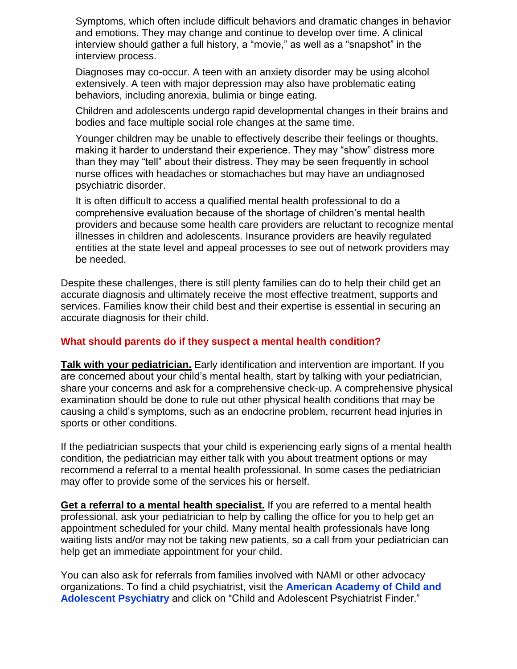Symptoms, which often include difficult behaviors and dramatic changes in behavior and emotions. They may change and continue to develop over time. A clinical interview should gather a full history, a "movie," as well as a "snapshot" in the interview process.

Diagnoses may co-occur. A teen with an anxiety disorder may be using alcohol extensively. A teen with major depression may also have problematic eating behaviors, including anorexia, bulimia or binge eating.

Children and adolescents undergo rapid developmental changes in their brains and bodies and face multiple social role changes at the same time.

Younger children may be unable to effectively describe their feelings or thoughts, making it harder to understand their experience. They may "show" distress more than they may "tell" about their distress. They may be seen frequently in school nurse offices with headaches or stomachaches but may have an undiagnosed psychiatric disorder.

It is often difficult to access a qualified mental health professional to do a comprehensive evaluation because of the shortage of children's mental health providers and because some health care providers are reluctant to recognize mental illnesses in children and adolescents. Insurance providers are heavily regulated entities at the state level and appeal processes to see out of network providers may be needed.

Despite these challenges, there is still plenty families can do to help their child get an accurate diagnosis and ultimately receive the most effective treatment, supports and services. Families know their child best and their expertise is essential in securing an accurate diagnosis for their child.

## **What should parents do if they suspect a mental health condition?**

**Talk with your pediatrician.** Early identification and intervention are important. If you are concerned about your child's mental health, start by talking with your pediatrician, share your concerns and ask for a comprehensive check-up. A comprehensive physical examination should be done to rule out other physical health conditions that may be causing a child's symptoms, such as an endocrine problem, recurrent head injuries in sports or other conditions.

If the pediatrician suspects that your child is experiencing early signs of a mental health condition, the pediatrician may either talk with you about treatment options or may recommend a referral to a mental health professional. In some cases the pediatrician may offer to provide some of the services his or herself.

**Get a referral to a mental health specialist.** If you are referred to a mental health professional, ask your pediatrician to help by calling the office for you to help get an appointment scheduled for your child. Many mental health professionals have long waiting lists and/or may not be taking new patients, so a call from your pediatrician can help get an immediate appointment for your child.

You can also ask for referrals from families involved with NAMI or other advocacy organizations. To find a child psychiatrist, visit the **[American Academy of Child and](http://www.aacap.org/)  [Adolescent Psychiatry](http://www.aacap.org/)** and click on "Child and Adolescent Psychiatrist Finder."